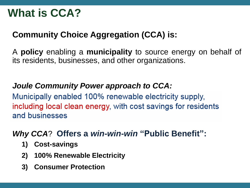# **What is CCA?**

### **Community Choice Aggregation (CCA) is:**

A **policy** enabling a **municipality** to source energy on behalf of its residents, businesses, and other organizations.

### *Joule Community Power approach to CCA:*

Municipally enabled 100% renewable electricity supply, including local clean energy, with cost savings for residents and businesses

### *Why CCA*? **Offers a** *win-win-win* **"Public Benefit":**

- **1) Cost-savings**
- **2) 100% Renewable Electricity**
- **3) Consumer Protection**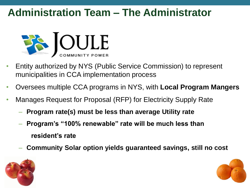## **Administration Team – The Administrator**



- Entity authorized by NYS (Public Service Commission) to represent municipalities in CCA implementation process
- Oversees multiple CCA programs in NYS, with **Local Program Mangers**
- Manages Request for Proposal (RFP) for Electricity Supply Rate
	- **Program rate(s) must be less than average Utility rate**
	- **Program's "100% renewable" rate will be much less than resident's rate**
	- **Community Solar option yields guaranteed savings, still no cost**



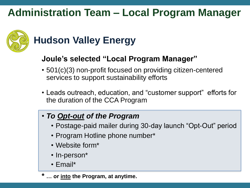## **Administration Team – Local Program Manager**



# **Hudson Valley Energy**

### **Joule's selected "Local Program Manager"**

- 501(c)(3) non-profit focused on providing citizen-centered services to support sustainability efforts
- Leads outreach, education, and "customer support" efforts for the duration of the CCA Program

### • *To Opt-out of the Program*

- Postage-paid mailer during 30-day launch "Opt-Out" period
- Program Hotline phone number\*
- Website form\*
- In-person\*
- Email\*
- **\* … or into the Program, at anytime.**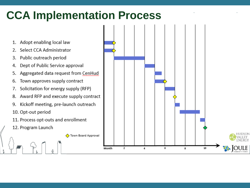# **CCA Implementation Process**

← Town Board Approval

- Adopt enabling local law 1.
- Select CCA Administrator 2.
- 3. Public outreach period
- 4. Dept of Public Service approval
- Aggregated data request from CenHud 5.
- Town approves supply contract 6.
- Solicitation for energy supply (RFP) 7.
- Award RFP and execute supply contract 8.
- Kickoff meeting, pre-launch outreach 9.
- 10. Opt-out period
- 11. Process opt-outs and enrollment
- 12. Program Launch

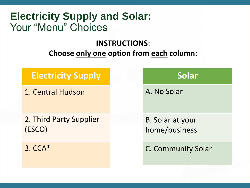## **Electricity Supply and Solar:**  Your "Menu" Choices

### **INSTRUCTIONS**:

### **Choose only one option from each column:**

### **Electricity Supply**

1. Central Hudson

2. Third Party Supplier (ESCO)

3. CCA\*

### **Solar**

A. No Solar

B. Solar at your home/business

C. Community Solar